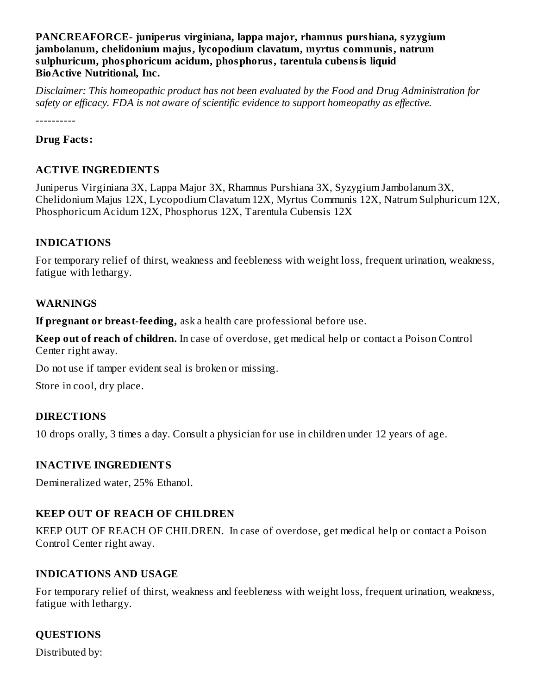**PANCREAFORCE- juniperus virginiana, lappa major, rhamnus purshiana, syzygium jambolanum, chelidonium majus, lycopodium clavatum, myrtus communis, natrum sulphuricum, phosphoricum acidum, phosphorus, tarentula cubensis liquid BioActive Nutritional, Inc.**

*Disclaimer: This homeopathic product has not been evaluated by the Food and Drug Administration for safety or efficacy. FDA is not aware of scientific evidence to support homeopathy as effective.*

----------

**Drug Facts:**

# **ACTIVE INGREDIENTS**

Juniperus Virginiana 3X, Lappa Major 3X, Rhamnus Purshiana 3X, Syzygium Jambolanum 3X, Chelidonium Majus 12X, Lycopodium Clavatum 12X, Myrtus Communis 12X, Natrum Sulphuricum 12X, Phosphoricum Acidum 12X, Phosphorus 12X, Tarentula Cubensis 12X

## **INDICATIONS**

For temporary relief of thirst, weakness and feebleness with weight loss, frequent urination, weakness, fatigue with lethargy.

## **WARNINGS**

**If pregnant or breast-feeding,** ask a health care professional before use.

**Keep out of reach of children.** In case of overdose, get medical help or contact a Poison Control Center right away.

Do not use if tamper evident seal is broken or missing.

Store in cool, dry place.

# **DIRECTIONS**

10 drops orally, 3 times a day. Consult a physician for use in children under 12 years of age.

# **INACTIVE INGREDIENTS**

Demineralized water, 25% Ethanol.

# **KEEP OUT OF REACH OF CHILDREN**

KEEP OUT OF REACH OF CHILDREN. In case of overdose, get medical help or contact a Poison Control Center right away.

# **INDICATIONS AND USAGE**

For temporary relief of thirst, weakness and feebleness with weight loss, frequent urination, weakness, fatigue with lethargy.

# **QUESTIONS**

Distributed by: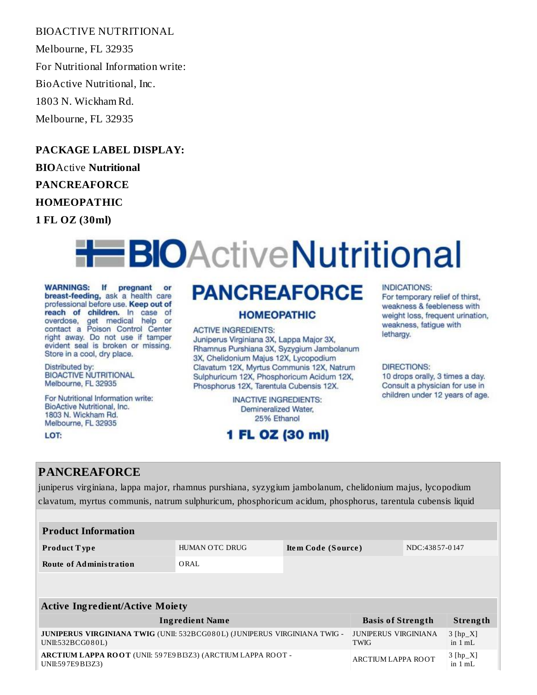BIOACTIVE NUTRITIONAL

Melbourne, FL 32935 For Nutritional Information write: BioActive Nutritional, Inc. 1803 N. Wickham Rd. Melbourne, FL 32935

**PACKAGE LABEL DISPLAY:**

**BIO**Active **Nutritional PANCREAFORCE**

**HOMEOPATHIC**

**1 FL OZ (30ml)**

# **H**BIOActiveNutritional

WARNINGS: If pregnant or<br>breast-feeding, ask a health care professional before use. Keep out of reach of children. In case of overdose, get medical help or<br>contact a Poison Control Center right away. Do not use if tamper evident seal is broken or missing. Store in a cool, dry place.

Distributed by: **BIOACTIVE NUTRITIONAL** Melbourne, FL 32935

For Nutritional Information write: BioActive Nutritional, Inc. 1803 N. Wickham Rd. Melbourne, FL 32935

LOT:

# **PANCREAFORCE**

### **HOMEOPATHIC**

### **ACTIVE INGREDIENTS:**

Juniperus Virginiana 3X, Lappa Major 3X, Rhamnus Purshiana 3X, Syzygium Jambolanum 3X, Chelidonium Majus 12X, Lycopodium Clavatum 12X, Myrtus Communis 12X, Natrum Sulphuricum 12X, Phosphoricum Acidum 12X, Phosphorus 12X, Tarentula Cubensis 12X.

> **INACTIVE INGREDIENTS:** Demineralized Water, 25% Ethanol

# 1 FL OZ (30 ml)

### **INDICATIONS:**

For temporary relief of thirst. weakness & feebleness with weight loss, frequent urination. weakness, fatigue with lethargy.

#### **DIRECTIONS:**

10 drops orally, 3 times a day. Consult a physician for use in children under 12 years of age.

# **PANCREAFORCE**

juniperus virginiana, lappa major, rhamnus purshiana, syzygium jambolanum, chelidonium majus, lycopodium clavatum, myrtus communis, natrum sulphuricum, phosphoricum acidum, phosphorus, tarentula cubensis liquid

| <b>Product Type</b>     | HUMAN OTC DRUG | Item Code (Source) | NDC:43857-0147 |
|-------------------------|----------------|--------------------|----------------|
| Route of Administration | ORAL           |                    |                |

| <b>Active Ingredient/Active Moiety</b>                                                        |                                            |                                 |  |  |
|-----------------------------------------------------------------------------------------------|--------------------------------------------|---------------------------------|--|--|
| <b>Ingredient Name</b>                                                                        | <b>Basis of Strength</b>                   | Strength                        |  |  |
| JUNIPERUS VIRGINIANA TWIG (UNII: 532BCG080L) (JUNIPERUS VIRGINIANA TWIG -<br>UNII:532BCG080L) | <b>JUNIPERUS VIRGINIANA</b><br><b>TWIG</b> | $3$ [hp_X]<br>in $1 mL$         |  |  |
| ARCTIUM LAPPA ROOT (UNII: 597E9BI3Z3) (ARCTIUM LAPPA ROOT -<br>UNII:597E9BI3Z3)               | ARCTIUM LAPPA ROOT                         | $3 [hp_X]$<br>in $1 \text{ mL}$ |  |  |